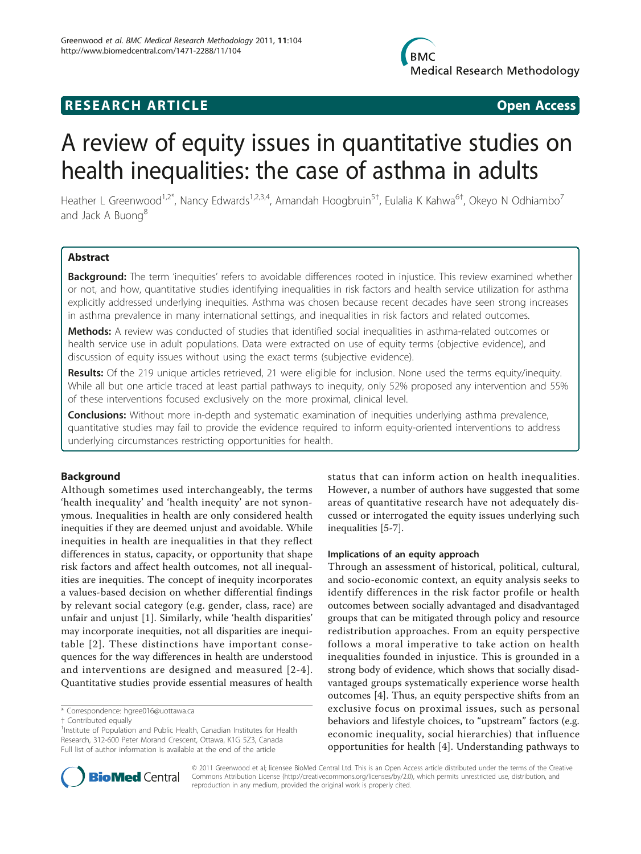## **RESEARCH ARTICLE Example 2018 CONSIDERING ACCESS**

# A review of equity issues in quantitative studies on health inequalities: the case of asthma in adults

Heather L Greenwood<sup>1,2\*</sup>, Nancy Edwards<sup>1,2,3,4</sup>, Amandah Hoogbruin<sup>5†</sup>, Eulalia K Kahwa<sup>6†</sup>, Okeyo N Odhiambo<sup>7</sup> and Jack A Buong<sup>8</sup>

## Abstract

Background: The term 'inequities' refers to avoidable differences rooted in injustice. This review examined whether or not, and how, quantitative studies identifying inequalities in risk factors and health service utilization for asthma explicitly addressed underlying inequities. Asthma was chosen because recent decades have seen strong increases in asthma prevalence in many international settings, and inequalities in risk factors and related outcomes.

Methods: A review was conducted of studies that identified social inequalities in asthma-related outcomes or health service use in adult populations. Data were extracted on use of equity terms (objective evidence), and discussion of equity issues without using the exact terms (subjective evidence).

Results: Of the 219 unique articles retrieved, 21 were eligible for inclusion. None used the terms equity/inequity. While all but one article traced at least partial pathways to inequity, only 52% proposed any intervention and 55% of these interventions focused exclusively on the more proximal, clinical level.

**Conclusions:** Without more in-depth and systematic examination of inequities underlying asthma prevalence, quantitative studies may fail to provide the evidence required to inform equity-oriented interventions to address underlying circumstances restricting opportunities for health.

## Background

Although sometimes used interchangeably, the terms 'health inequality' and 'health inequity' are not synonymous. Inequalities in health are only considered health inequities if they are deemed unjust and avoidable. While inequities in health are inequalities in that they reflect differences in status, capacity, or opportunity that shape risk factors and affect health outcomes, not all inequalities are inequities. The concept of inequity incorporates a values-based decision on whether differential findings by relevant social category (e.g. gender, class, race) are unfair and unjust [[1\]](#page-6-0). Similarly, while 'health disparities' may incorporate inequities, not all disparities are inequitable [[2](#page-6-0)]. These distinctions have important consequences for the way differences in health are understood and interventions are designed and measured [[2](#page-6-0)-[4\]](#page-6-0). Quantitative studies provide essential measures of health

\* Correspondence: [hgree016@uottawa.ca](mailto:hgree016@uottawa.ca)

status that can inform action on health inequalities. However, a number of authors have suggested that some areas of quantitative research have not adequately discussed or interrogated the equity issues underlying such inequalities [[5-7\]](#page-6-0).

#### Implications of an equity approach

Through an assessment of historical, political, cultural, and socio-economic context, an equity analysis seeks to identify differences in the risk factor profile or health outcomes between socially advantaged and disadvantaged groups that can be mitigated through policy and resource redistribution approaches. From an equity perspective follows a moral imperative to take action on health inequalities founded in injustice. This is grounded in a strong body of evidence, which shows that socially disadvantaged groups systematically experience worse health outcomes [[4\]](#page-6-0). Thus, an equity perspective shifts from an exclusive focus on proximal issues, such as personal behaviors and lifestyle choices, to "upstream" factors (e.g. economic inequality, social hierarchies) that influence opportunities for health [[4\]](#page-6-0). Understanding pathways to



© 2011 Greenwood et al; licensee BioMed Central Ltd. This is an Open Access article distributed under the terms of the Creative Commons Attribution License [\(http://creativecommons.org/licenses/by/2.0](http://creativecommons.org/licenses/by/2.0)), which permits unrestricted use, distribution, and reproduction in any medium, provided the original work is properly cited.

<sup>†</sup> Contributed equally <sup>1</sup>

<sup>&</sup>lt;sup>1</sup> Institute of Population and Public Health, Canadian Institutes for Health Research, 312-600 Peter Morand Crescent, Ottawa, K1G 5Z3, Canada Full list of author information is available at the end of the article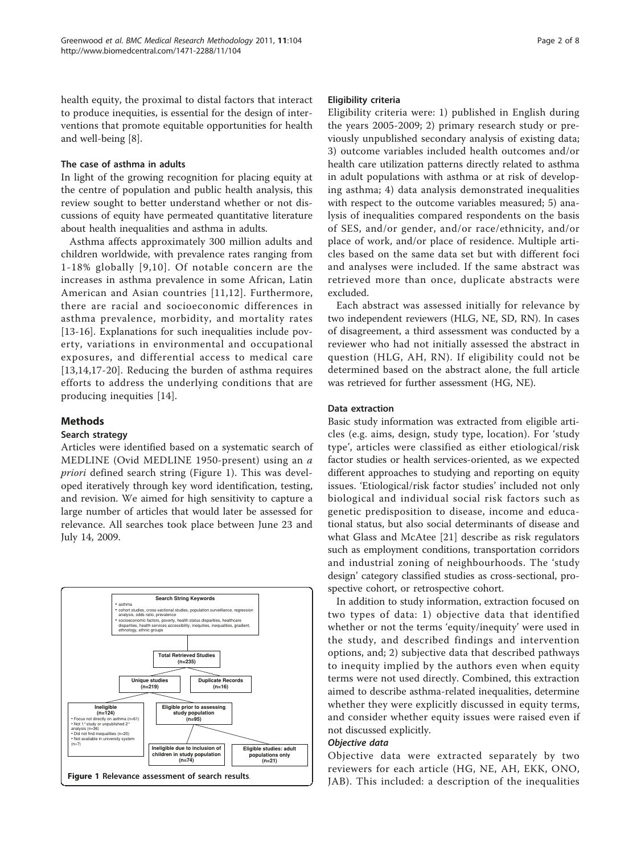<span id="page-1-0"></span>health equity, the proximal to distal factors that interact to produce inequities, is essential for the design of interventions that promote equitable opportunities for health and well-being [\[8](#page-6-0)].

#### The case of asthma in adults

In light of the growing recognition for placing equity at the centre of population and public health analysis, this review sought to better understand whether or not discussions of equity have permeated quantitative literature about health inequalities and asthma in adults.

Asthma affects approximately 300 million adults and children worldwide, with prevalence rates ranging from 1-18% globally [[9](#page-6-0),[10](#page-6-0)]. Of notable concern are the increases in asthma prevalence in some African, Latin American and Asian countries [\[11,12\]](#page-6-0). Furthermore, there are racial and socioeconomic differences in asthma prevalence, morbidity, and mortality rates [[13-16\]](#page-6-0). Explanations for such inequalities include poverty, variations in environmental and occupational exposures, and differential access to medical care [[13,14,17-20\]](#page-6-0). Reducing the burden of asthma requires efforts to address the underlying conditions that are producing inequities [\[14](#page-6-0)].

## Methods

## Search strategy

Articles were identified based on a systematic search of MEDLINE (Ovid MEDLINE 1950-present) using an a priori defined search string (Figure 1). This was developed iteratively through key word identification, testing, and revision. We aimed for high sensitivity to capture a large number of articles that would later be assessed for relevance. All searches took place between June 23 and July 14, 2009.



#### Eligibility criteria

Eligibility criteria were: 1) published in English during the years 2005-2009; 2) primary research study or previously unpublished secondary analysis of existing data; 3) outcome variables included health outcomes and/or health care utilization patterns directly related to asthma in adult populations with asthma or at risk of developing asthma; 4) data analysis demonstrated inequalities with respect to the outcome variables measured; 5) analysis of inequalities compared respondents on the basis of SES, and/or gender, and/or race/ethnicity, and/or place of work, and/or place of residence. Multiple articles based on the same data set but with different foci and analyses were included. If the same abstract was retrieved more than once, duplicate abstracts were excluded.

Each abstract was assessed initially for relevance by two independent reviewers (HLG, NE, SD, RN). In cases of disagreement, a third assessment was conducted by a reviewer who had not initially assessed the abstract in question (HLG, AH, RN). If eligibility could not be determined based on the abstract alone, the full article was retrieved for further assessment (HG, NE).

### Data extraction

Basic study information was extracted from eligible articles (e.g. aims, design, study type, location). For 'study type', articles were classified as either etiological/risk factor studies or health services-oriented, as we expected different approaches to studying and reporting on equity issues. 'Etiological/risk factor studies' included not only biological and individual social risk factors such as genetic predisposition to disease, income and educational status, but also social determinants of disease and what Glass and McAtee [[21](#page-6-0)] describe as risk regulators such as employment conditions, transportation corridors and industrial zoning of neighbourhoods. The 'study design' category classified studies as cross-sectional, prospective cohort, or retrospective cohort.

In addition to study information, extraction focused on two types of data: 1) objective data that identified whether or not the terms 'equity/inequity' were used in the study, and described findings and intervention options, and; 2) subjective data that described pathways to inequity implied by the authors even when equity terms were not used directly. Combined, this extraction aimed to describe asthma-related inequalities, determine whether they were explicitly discussed in equity terms, and consider whether equity issues were raised even if not discussed explicitly.

## Objective data

Objective data were extracted separately by two reviewers for each article (HG, NE, AH, EKK, ONO, JAB). This included: a description of the inequalities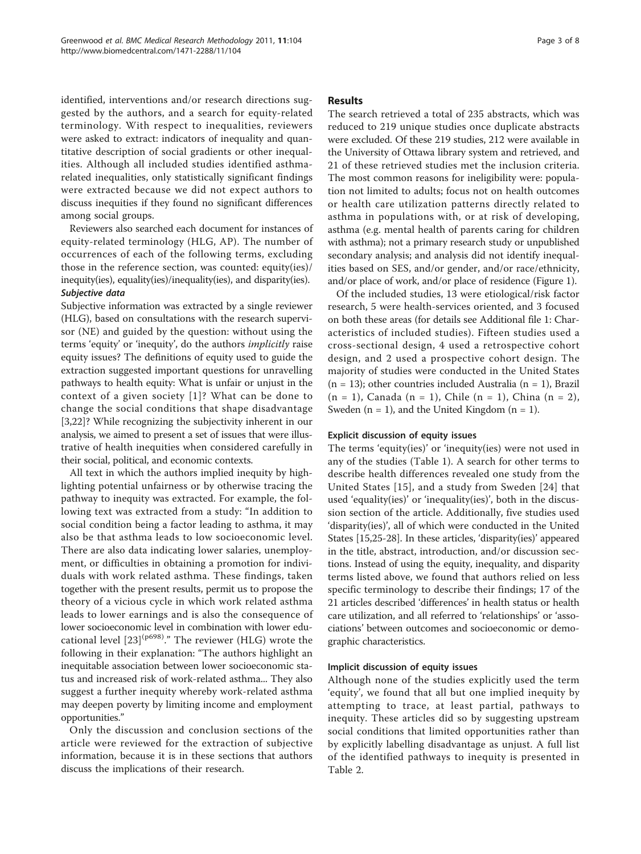identified, interventions and/or research directions suggested by the authors, and a search for equity-related terminology. With respect to inequalities, reviewers were asked to extract: indicators of inequality and quantitative description of social gradients or other inequalities. Although all included studies identified asthmarelated inequalities, only statistically significant findings were extracted because we did not expect authors to discuss inequities if they found no significant differences among social groups.

Reviewers also searched each document for instances of equity-related terminology (HLG, AP). The number of occurrences of each of the following terms, excluding those in the reference section, was counted: equity(ies)/ inequity(ies), equality(ies)/inequality(ies), and disparity(ies). Subjective data

Subjective information was extracted by a single reviewer (HLG), based on consultations with the research supervisor (NE) and guided by the question: without using the terms 'equity' or 'inequity', do the authors implicitly raise equity issues? The definitions of equity used to guide the extraction suggested important questions for unravelling pathways to health equity: What is unfair or unjust in the context of a given society [[1](#page-6-0)]? What can be done to change the social conditions that shape disadvantage [[3,22\]](#page-6-0)? While recognizing the subjectivity inherent in our analysis, we aimed to present a set of issues that were illustrative of health inequities when considered carefully in their social, political, and economic contexts.

All text in which the authors implied inequity by highlighting potential unfairness or by otherwise tracing the pathway to inequity was extracted. For example, the following text was extracted from a study: "In addition to social condition being a factor leading to asthma, it may also be that asthma leads to low socioeconomic level. There are also data indicating lower salaries, unemployment, or difficulties in obtaining a promotion for individuals with work related asthma. These findings, taken together with the present results, permit us to propose the theory of a vicious cycle in which work related asthma leads to lower earnings and is also the consequence of lower socioeconomic level in combination with lower educational level  $[23]^{(p698)}$  $[23]^{(p698)}$ ." The reviewer (HLG) wrote the following in their explanation: "The authors highlight an inequitable association between lower socioeconomic status and increased risk of work-related asthma... They also suggest a further inequity whereby work-related asthma may deepen poverty by limiting income and employment opportunities."

Only the discussion and conclusion sections of the article were reviewed for the extraction of subjective information, because it is in these sections that authors discuss the implications of their research.

### Results

The search retrieved a total of 235 abstracts, which was reduced to 219 unique studies once duplicate abstracts were excluded. Of these 219 studies, 212 were available in the University of Ottawa library system and retrieved, and 21 of these retrieved studies met the inclusion criteria. The most common reasons for ineligibility were: population not limited to adults; focus not on health outcomes or health care utilization patterns directly related to asthma in populations with, or at risk of developing, asthma (e.g. mental health of parents caring for children with asthma); not a primary research study or unpublished secondary analysis; and analysis did not identify inequalities based on SES, and/or gender, and/or race/ethnicity, and/or place of work, and/or place of residence (Figure [1](#page-1-0)).

Of the included studies, 13 were etiological/risk factor research, 5 were health-services oriented, and 3 focused on both these areas (for details see Additional file [1:](#page-6-0) Characteristics of included studies). Fifteen studies used a cross-sectional design, 4 used a retrospective cohort design, and 2 used a prospective cohort design. The majority of studies were conducted in the United States  $(n = 13)$ ; other countries included Australia  $(n = 1)$ , Brazil  $(n = 1)$ , Canada  $(n = 1)$ , Chile  $(n = 1)$ , China  $(n = 2)$ , Sweden  $(n = 1)$ , and the United Kingdom  $(n = 1)$ .

#### Explicit discussion of equity issues

The terms 'equity(ies)' or 'inequity(ies) were not used in any of the studies (Table [1\)](#page-3-0). A search for other terms to describe health differences revealed one study from the United States [[15\]](#page-6-0), and a study from Sweden [[24](#page-6-0)] that used 'equality(ies)' or 'inequality(ies)', both in the discussion section of the article. Additionally, five studies used 'disparity(ies)', all of which were conducted in the United States [\[15,](#page-6-0)[25-28\]](#page-7-0). In these articles, 'disparity(ies)' appeared in the title, abstract, introduction, and/or discussion sections. Instead of using the equity, inequality, and disparity terms listed above, we found that authors relied on less specific terminology to describe their findings; 17 of the 21 articles described 'differences' in health status or health care utilization, and all referred to 'relationships' or 'associations' between outcomes and socioeconomic or demographic characteristics.

#### Implicit discussion of equity issues

Although none of the studies explicitly used the term 'equity', we found that all but one implied inequity by attempting to trace, at least partial, pathways to inequity. These articles did so by suggesting upstream social conditions that limited opportunities rather than by explicitly labelling disadvantage as unjust. A full list of the identified pathways to inequity is presented in Table [2.](#page-3-0)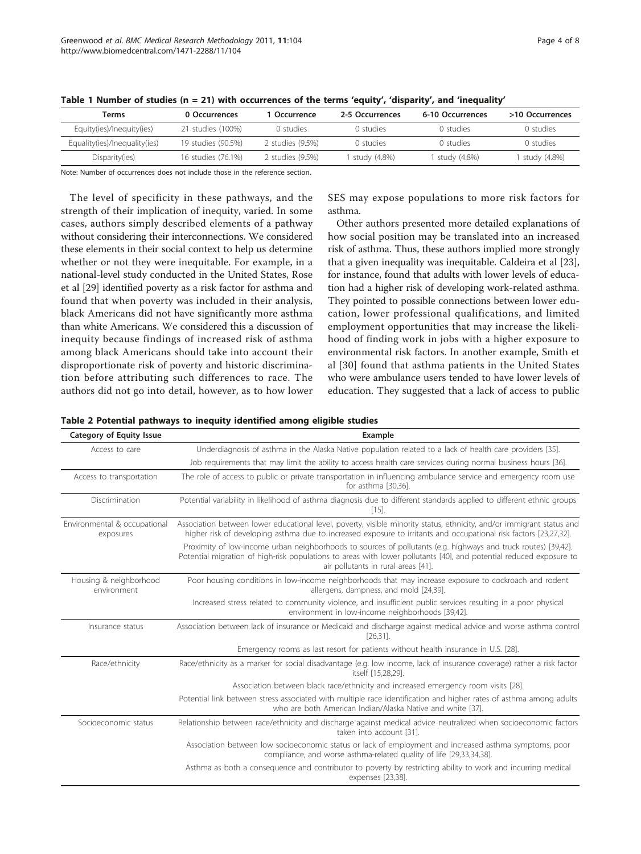| Terms                         | 0 Occurrences      | Occurrence       | 2-5 Occurrences | 6-10 Occurrences | >10 Occurrences |
|-------------------------------|--------------------|------------------|-----------------|------------------|-----------------|
| Equity(ies)/Inequity(ies)     | 21 studies (100%)  | 0 studies        | 0 studies       | 0 studies        | 0 studies       |
| Equality(ies)/Inequality(ies) | 19 studies (90.5%) | 2 studies (9.5%) | 0 studies       | 0 studies        | 0 studies       |
| Disparity(ies)                | 16 studies (76.1%) | 2 studies (9.5%) | study (4.8%)    | I study (4.8%)   | study (4.8%)    |

<span id="page-3-0"></span>Table 1 Number of studies ( $n = 21$ ) with occurrences of the terms 'equity', 'disparity', and 'inequality'

Note: Number of occurrences does not include those in the reference section.

The level of specificity in these pathways, and the strength of their implication of inequity, varied. In some cases, authors simply described elements of a pathway without considering their interconnections. We considered these elements in their social context to help us determine whether or not they were inequitable. For example, in a national-level study conducted in the United States, Rose et al [[29](#page-7-0)] identified poverty as a risk factor for asthma and found that when poverty was included in their analysis, black Americans did not have significantly more asthma than white Americans. We considered this a discussion of inequity because findings of increased risk of asthma among black Americans should take into account their disproportionate risk of poverty and historic discrimination before attributing such differences to race. The authors did not go into detail, however, as to how lower

SES may expose populations to more risk factors for asthma.

Other authors presented more detailed explanations of how social position may be translated into an increased risk of asthma. Thus, these authors implied more strongly that a given inequality was inequitable. Caldeira et al [[23](#page-6-0)], for instance, found that adults with lower levels of education had a higher risk of developing work-related asthma. They pointed to possible connections between lower education, lower professional qualifications, and limited employment opportunities that may increase the likelihood of finding work in jobs with a higher exposure to environmental risk factors. In another example, Smith et al [[30\]](#page-7-0) found that asthma patients in the United States who were ambulance users tended to have lower levels of education. They suggested that a lack of access to public

Table 2 Potential pathways to inequity identified among eligible studies

| <b>Category of Equity Issue</b>           | Example                                                                                                                                                                                                                                                                      |
|-------------------------------------------|------------------------------------------------------------------------------------------------------------------------------------------------------------------------------------------------------------------------------------------------------------------------------|
| Access to care                            | Underdiagnosis of asthma in the Alaska Native population related to a lack of health care providers [35].                                                                                                                                                                    |
|                                           | Job requirements that may limit the ability to access health care services during normal business hours [36].                                                                                                                                                                |
| Access to transportation                  | The role of access to public or private transportation in influencing ambulance service and emergency room use<br>for asthma [30.36].                                                                                                                                        |
| Discrimination                            | Potential variability in likelihood of asthma diagnosis due to different standards applied to different ethnic groups<br>$[15]$ .                                                                                                                                            |
| Environmental & occupational<br>exposures | Association between lower educational level, poverty, visible minority status, ethnicity, and/or immigrant status and<br>higher risk of developing asthma due to increased exposure to irritants and occupational risk factors [23,27,32].                                   |
|                                           | Proximity of low-income urban neighborhoods to sources of pollutants (e.g. highways and truck routes) [39,42].<br>Potential migration of high-risk populations to areas with lower pollutants [40], and potential reduced exposure to<br>air pollutants in rural areas [41]. |
| Housing & neighborhood<br>environment     | Poor housing conditions in low-income neighborhoods that may increase exposure to cockroach and rodent<br>allergens, dampness, and mold [24,39].                                                                                                                             |
|                                           | Increased stress related to community violence, and insufficient public services resulting in a poor physical<br>environment in low-income neighborhoods [39,42].                                                                                                            |
| Insurance status                          | Association between lack of insurance or Medicaid and discharge against medical advice and worse asthma control<br>$[26, 31]$ .                                                                                                                                              |
|                                           | Emergency rooms as last resort for patients without health insurance in U.S. [28].                                                                                                                                                                                           |
| Race/ethnicity                            | Race/ethnicity as a marker for social disadvantage (e.g. low income, lack of insurance coverage) rather a risk factor<br>itself [15,28,29].                                                                                                                                  |
|                                           | Association between black race/ethnicity and increased emergency room visits [28].                                                                                                                                                                                           |
|                                           | Potential link between stress associated with multiple race identification and higher rates of asthma among adults<br>who are both American Indian/Alaska Native and white [37].                                                                                             |
| Socioeconomic status                      | Relationship between race/ethnicity and discharge against medical advice neutralized when socioeconomic factors<br>taken into account [31].                                                                                                                                  |
|                                           | Association between low socioeconomic status or lack of employment and increased asthma symptoms, poor<br>compliance, and worse asthma-related quality of life [29,33,34,38].                                                                                                |
|                                           | Asthma as both a consequence and contributor to poverty by restricting ability to work and incurring medical<br>expenses [23,38].                                                                                                                                            |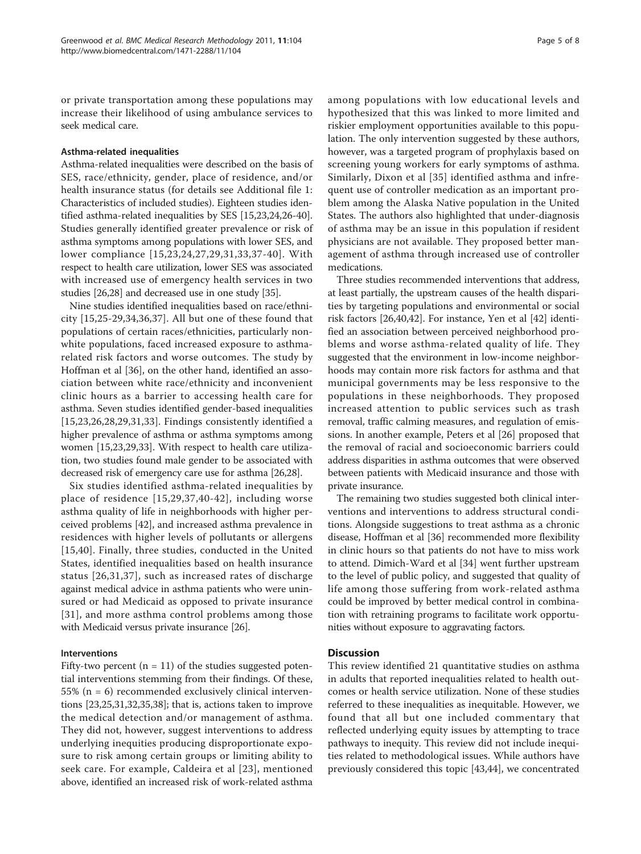or private transportation among these populations may increase their likelihood of using ambulance services to seek medical care.

#### Asthma-related inequalities

Asthma-related inequalities were described on the basis of SES, race/ethnicity, gender, place of residence, and/or health insurance status (for details see Additional file [1](#page-6-0): Characteristics of included studies). Eighteen studies identified asthma-related inequalities by SES [\[15,23,24,](#page-6-0)[26-40](#page-7-0)]. Studies generally identified greater prevalence or risk of asthma symptoms among populations with lower SES, and lower compliance [[15,23,24,](#page-6-0)[27](#page-7-0),[29](#page-7-0),[31](#page-7-0),[33](#page-7-0),[37](#page-7-0)-[40\]](#page-7-0). With respect to health care utilization, lower SES was associated with increased use of emergency health services in two studies [[26,28](#page-7-0)] and decreased use in one study [\[35\]](#page-7-0).

Nine studies identified inequalities based on race/ethnicity [[15](#page-6-0)[,25-29](#page-7-0),[34,36,37](#page-7-0)]. All but one of these found that populations of certain races/ethnicities, particularly nonwhite populations, faced increased exposure to asthmarelated risk factors and worse outcomes. The study by Hoffman et al [\[36](#page-7-0)], on the other hand, identified an association between white race/ethnicity and inconvenient clinic hours as a barrier to accessing health care for asthma. Seven studies identified gender-based inequalities [[15,23](#page-6-0),[26,28,29](#page-7-0),[31,33\]](#page-7-0). Findings consistently identified a higher prevalence of asthma or asthma symptoms among women [[15,23,](#page-6-0)[29,33\]](#page-7-0). With respect to health care utilization, two studies found male gender to be associated with decreased risk of emergency care use for asthma [[26,28\]](#page-7-0).

Six studies identified asthma-related inequalities by place of residence [\[15,](#page-6-0)[29](#page-7-0),[37](#page-7-0),[40](#page-7-0)-[42\]](#page-7-0), including worse asthma quality of life in neighborhoods with higher perceived problems [[42](#page-7-0)], and increased asthma prevalence in residences with higher levels of pollutants or allergens [[15](#page-6-0),[40\]](#page-7-0). Finally, three studies, conducted in the United States, identified inequalities based on health insurance status [[26](#page-7-0),[31](#page-7-0),[37](#page-7-0)], such as increased rates of discharge against medical advice in asthma patients who were uninsured or had Medicaid as opposed to private insurance [[31](#page-7-0)], and more asthma control problems among those with Medicaid versus private insurance [[26](#page-7-0)].

## Interventions

Fifty-two percent ( $n = 11$ ) of the studies suggested potential interventions stemming from their findings. Of these, 55% ( $n = 6$ ) recommended exclusively clinical interventions [[23](#page-6-0)[,25,31,32,35,38\]](#page-7-0); that is, actions taken to improve the medical detection and/or management of asthma. They did not, however, suggest interventions to address underlying inequities producing disproportionate exposure to risk among certain groups or limiting ability to seek care. For example, Caldeira et al [[23\]](#page-6-0), mentioned above, identified an increased risk of work-related asthma among populations with low educational levels and hypothesized that this was linked to more limited and riskier employment opportunities available to this population. The only intervention suggested by these authors, however, was a targeted program of prophylaxis based on screening young workers for early symptoms of asthma. Similarly, Dixon et al [[35](#page-7-0)] identified asthma and infrequent use of controller medication as an important problem among the Alaska Native population in the United States. The authors also highlighted that under-diagnosis of asthma may be an issue in this population if resident physicians are not available. They proposed better management of asthma through increased use of controller medications.

Three studies recommended interventions that address, at least partially, the upstream causes of the health disparities by targeting populations and environmental or social risk factors [\[26,40,42\]](#page-7-0). For instance, Yen et al [[42\]](#page-7-0) identified an association between perceived neighborhood problems and worse asthma-related quality of life. They suggested that the environment in low-income neighborhoods may contain more risk factors for asthma and that municipal governments may be less responsive to the populations in these neighborhoods. They proposed increased attention to public services such as trash removal, traffic calming measures, and regulation of emissions. In another example, Peters et al [\[26](#page-7-0)] proposed that the removal of racial and socioeconomic barriers could address disparities in asthma outcomes that were observed between patients with Medicaid insurance and those with private insurance.

The remaining two studies suggested both clinical interventions and interventions to address structural conditions. Alongside suggestions to treat asthma as a chronic disease, Hoffman et al [\[36](#page-7-0)] recommended more flexibility in clinic hours so that patients do not have to miss work to attend. Dimich-Ward et al [\[34](#page-7-0)] went further upstream to the level of public policy, and suggested that quality of life among those suffering from work-related asthma could be improved by better medical control in combination with retraining programs to facilitate work opportunities without exposure to aggravating factors.

## **Discussion**

This review identified 21 quantitative studies on asthma in adults that reported inequalities related to health outcomes or health service utilization. None of these studies referred to these inequalities as inequitable. However, we found that all but one included commentary that reflected underlying equity issues by attempting to trace pathways to inequity. This review did not include inequities related to methodological issues. While authors have previously considered this topic [[43,44\]](#page-7-0), we concentrated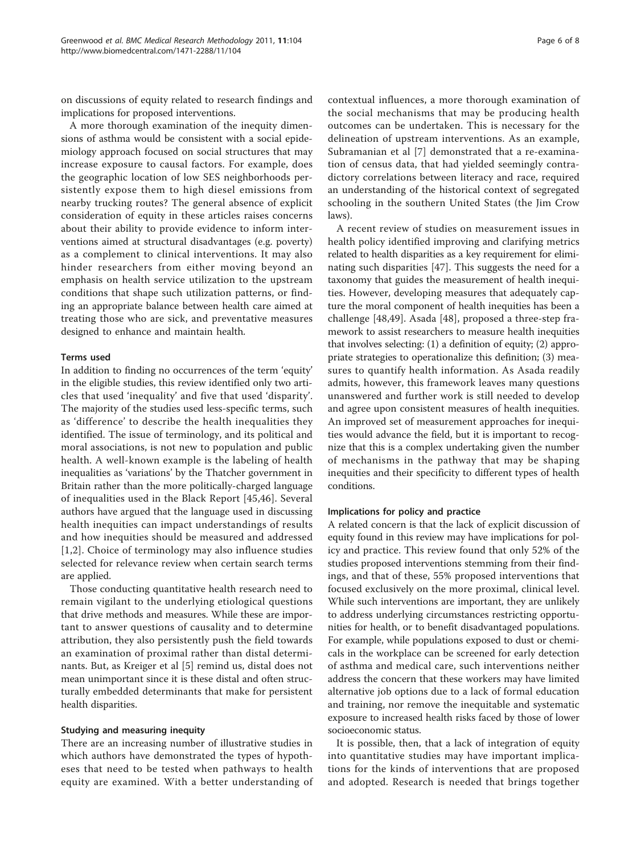on discussions of equity related to research findings and implications for proposed interventions.

A more thorough examination of the inequity dimensions of asthma would be consistent with a social epidemiology approach focused on social structures that may increase exposure to causal factors. For example, does the geographic location of low SES neighborhoods persistently expose them to high diesel emissions from nearby trucking routes? The general absence of explicit consideration of equity in these articles raises concerns about their ability to provide evidence to inform interventions aimed at structural disadvantages (e.g. poverty) as a complement to clinical interventions. It may also hinder researchers from either moving beyond an emphasis on health service utilization to the upstream conditions that shape such utilization patterns, or finding an appropriate balance between health care aimed at treating those who are sick, and preventative measures designed to enhance and maintain health.

#### Terms used

In addition to finding no occurrences of the term 'equity' in the eligible studies, this review identified only two articles that used 'inequality' and five that used 'disparity'. The majority of the studies used less-specific terms, such as 'difference' to describe the health inequalities they identified. The issue of terminology, and its political and moral associations, is not new to population and public health. A well-known example is the labeling of health inequalities as 'variations' by the Thatcher government in Britain rather than the more politically-charged language of inequalities used in the Black Report [[45,46](#page-7-0)]. Several authors have argued that the language used in discussing health inequities can impact understandings of results and how inequities should be measured and addressed [[1,2\]](#page-6-0). Choice of terminology may also influence studies selected for relevance review when certain search terms are applied.

Those conducting quantitative health research need to remain vigilant to the underlying etiological questions that drive methods and measures. While these are important to answer questions of causality and to determine attribution, they also persistently push the field towards an examination of proximal rather than distal determinants. But, as Kreiger et al [[5\]](#page-6-0) remind us, distal does not mean unimportant since it is these distal and often structurally embedded determinants that make for persistent health disparities.

#### Studying and measuring inequity

There are an increasing number of illustrative studies in which authors have demonstrated the types of hypotheses that need to be tested when pathways to health equity are examined. With a better understanding of contextual influences, a more thorough examination of the social mechanisms that may be producing health outcomes can be undertaken. This is necessary for the delineation of upstream interventions. As an example, Subramanian et al [[7](#page-6-0)] demonstrated that a re-examination of census data, that had yielded seemingly contradictory correlations between literacy and race, required an understanding of the historical context of segregated schooling in the southern United States (the Jim Crow laws).

A recent review of studies on measurement issues in health policy identified improving and clarifying metrics related to health disparities as a key requirement for eliminating such disparities [[47\]](#page-7-0). This suggests the need for a taxonomy that guides the measurement of health inequities. However, developing measures that adequately capture the moral component of health inequities has been a challenge [[48,49](#page-7-0)]. Asada [[48\]](#page-7-0), proposed a three-step framework to assist researchers to measure health inequities that involves selecting: (1) a definition of equity; (2) appropriate strategies to operationalize this definition; (3) measures to quantify health information. As Asada readily admits, however, this framework leaves many questions unanswered and further work is still needed to develop and agree upon consistent measures of health inequities. An improved set of measurement approaches for inequities would advance the field, but it is important to recognize that this is a complex undertaking given the number of mechanisms in the pathway that may be shaping inequities and their specificity to different types of health conditions.

#### Implications for policy and practice

A related concern is that the lack of explicit discussion of equity found in this review may have implications for policy and practice. This review found that only 52% of the studies proposed interventions stemming from their findings, and that of these, 55% proposed interventions that focused exclusively on the more proximal, clinical level. While such interventions are important, they are unlikely to address underlying circumstances restricting opportunities for health, or to benefit disadvantaged populations. For example, while populations exposed to dust or chemicals in the workplace can be screened for early detection of asthma and medical care, such interventions neither address the concern that these workers may have limited alternative job options due to a lack of formal education and training, nor remove the inequitable and systematic exposure to increased health risks faced by those of lower socioeconomic status.

It is possible, then, that a lack of integration of equity into quantitative studies may have important implications for the kinds of interventions that are proposed and adopted. Research is needed that brings together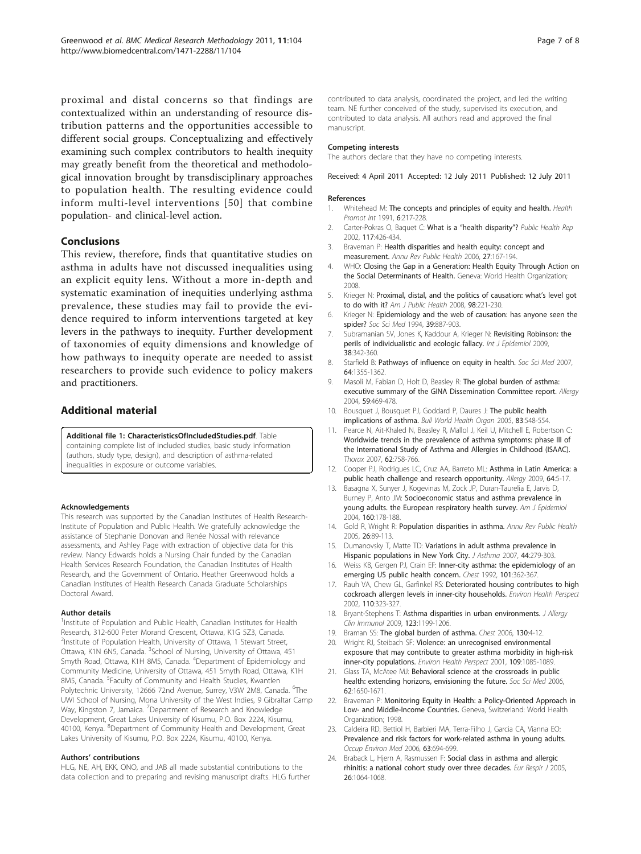<span id="page-6-0"></span>proximal and distal concerns so that findings are contextualized within an understanding of resource distribution patterns and the opportunities accessible to different social groups. Conceptualizing and effectively examining such complex contributors to health inequity may greatly benefit from the theoretical and methodological innovation brought by transdisciplinary approaches to population health. The resulting evidence could inform multi-level interventions [[50\]](#page-7-0) that combine population- and clinical-level action.

### Conclusions

This review, therefore, finds that quantitative studies on asthma in adults have not discussed inequalities using an explicit equity lens. Without a more in-depth and systematic examination of inequities underlying asthma prevalence, these studies may fail to provide the evidence required to inform interventions targeted at key levers in the pathways to inequity. Further development of taxonomies of equity dimensions and knowledge of how pathways to inequity operate are needed to assist researchers to provide such evidence to policy makers and practitioners.

## Additional material

[Additional file 1: C](http://www.biomedcentral.com/content/supplementary/1471-2288-11-104-S1.PDF)haracteristicsOfIncludedStudies.pdf. Table containing complete list of included studies, basic study information (authors, study type, design), and description of asthma-related inequalities in exposure or outcome variables.

#### Acknowledgements

This research was supported by the Canadian Institutes of Health Research-Institute of Population and Public Health. We gratefully acknowledge the assistance of Stephanie Donovan and Renée Nossal with relevance assessments, and Ashley Page with extraction of objective data for this review. Nancy Edwards holds a Nursing Chair funded by the Canadian Health Services Research Foundation, the Canadian Institutes of Health Research, and the Government of Ontario. Heather Greenwood holds a Canadian Institutes of Health Research Canada Graduate Scholarships Doctoral Award.

#### Author details

<sup>1</sup>Institute of Population and Public Health, Canadian Institutes for Health Research, 312-600 Peter Morand Crescent, Ottawa, K1G 5Z3, Canada. <sup>2</sup>Institute of Population Health, University of Ottawa, 1 Stewart Street, Ottawa, K1N 6N5, Canada. <sup>3</sup>School of Nursing, University of Ottawa, 451 Smyth Road, Ottawa, K1H 8M5, Canada. <sup>4</sup>Department of Epidemiology and Community Medicine, University of Ottawa, 451 Smyth Road, Ottawa, K1H 8M5, Canada. <sup>5</sup>Faculty of Community and Health Studies, Kwantlen Polytechnic University, 12666 72nd Avenue, Surrey, V3W 2M8, Canada. <sup>6</sup>The UWI School of Nursing, Mona University of the West Indies, 9 Gibraltar Camp Way, Kingston 7, Jamaica. <sup>7</sup>Department of Research and Knowledge Development, Great Lakes University of Kisumu, P.O. Box 2224, Kisumu, 40100, Kenya. <sup>8</sup>Department of Community Health and Development, Great Lakes University of Kisumu, P.O. Box 2224, Kisumu, 40100, Kenya.

#### Authors' contributions

HLG, NE, AH, EKK, ONO, and JAB all made substantial contributions to the data collection and to preparing and revising manuscript drafts. HLG further

#### Competing interests

The authors declare that they have no competing interests.

Received: 4 April 2011 Accepted: 12 July 2011 Published: 12 July 2011

#### References

- 1. Whitehead M: The concepts and principles of equity and health. Health Promot Int 1991, 6:217-228.
- 2. Carter-Pokras O, Baquet C: What is a "[health disparity](http://www.ncbi.nlm.nih.gov/pubmed/12500958?dopt=Abstract)"? Public Health Rep 2002, 117:426-434.
- 3. Braveman P: [Health disparities and health equity: concept and](http://www.ncbi.nlm.nih.gov/pubmed/16533114?dopt=Abstract) [measurement.](http://www.ncbi.nlm.nih.gov/pubmed/16533114?dopt=Abstract) Annu Rev Public Health 2006, 27:167-194.
- 4. WHO: Closing the Gap in a Generation: Health Equity Through Action on the Social Determinants of Health. Geneva: World Health Organization; 2008.
- 5. Krieger N: [Proximal, distal, and the politics of causation: what](http://www.ncbi.nlm.nih.gov/pubmed/18172144?dopt=Abstract)'s level got [to do with it?](http://www.ncbi.nlm.nih.gov/pubmed/18172144?dopt=Abstract) Am J Public Health 2008, 98:221-230.
- 6. Krieger N: [Epidemiology and the web of causation: has anyone seen the](http://www.ncbi.nlm.nih.gov/pubmed/7992123?dopt=Abstract) [spider?](http://www.ncbi.nlm.nih.gov/pubmed/7992123?dopt=Abstract) Soc Sci Med 1994, 39:887-903.
- 7. Subramanian SV, Jones K, Kaddour A, Krieger N: [Revisiting Robinson: the](http://www.ncbi.nlm.nih.gov/pubmed/19179348?dopt=Abstract) [perils of individualistic and ecologic fallacy.](http://www.ncbi.nlm.nih.gov/pubmed/19179348?dopt=Abstract) Int J Epidemiol 2009, 38:342-360.
- 8. Starfield B: [Pathways of influence on equity in health.](http://www.ncbi.nlm.nih.gov/pubmed/17208343?dopt=Abstract) Soc Sci Med 2007, 64:1355-1362.
- 9. Masoli M, Fabian D, Holt D, Beasley R: [The global burden of asthma:](http://www.ncbi.nlm.nih.gov/pubmed/15080825?dopt=Abstract) [executive summary of the GINA Dissemination Committee report.](http://www.ncbi.nlm.nih.gov/pubmed/15080825?dopt=Abstract) Allergy 2004, 59:469-478.
- 10. Bousquet J, Bousquet PJ, Goddard P, Daures J: [The public health](http://www.ncbi.nlm.nih.gov/pubmed/16175830?dopt=Abstract) [implications of asthma.](http://www.ncbi.nlm.nih.gov/pubmed/16175830?dopt=Abstract) Bull World Health Organ 2005, 83:548-554.
- 11. Pearce N, Ait-Khaled N, Beasley R, Mallol J, Keil U, Mitchell E, Robertson C: [Worldwide trends in the prevalence of asthma symptoms: phase III of](http://www.ncbi.nlm.nih.gov/pubmed/17504817?dopt=Abstract) [the International Study of Asthma and Allergies in Childhood \(ISAAC\).](http://www.ncbi.nlm.nih.gov/pubmed/17504817?dopt=Abstract) Thorax 2007, 62:758-766.
- 12. Cooper PJ, Rodrigues LC, Cruz AA, Barreto ML: [Asthma in Latin America: a](http://www.ncbi.nlm.nih.gov/pubmed/19076533?dopt=Abstract) [public heath challenge and research opportunity.](http://www.ncbi.nlm.nih.gov/pubmed/19076533?dopt=Abstract) Allergy 2009, 64:5-17.
- 13. Basagna X, Sunyer J, Kogevinas M, Zock JP, Duran-Taurelia E, Jarvis D, Burney P, Anto JM: [Socioeconomic status and asthma prevalence in](http://www.ncbi.nlm.nih.gov/pubmed/15234940?dopt=Abstract) [young adults. the European respiratory health survey.](http://www.ncbi.nlm.nih.gov/pubmed/15234940?dopt=Abstract) Am J Epidemiol 2004, 160:178-188.
- 14. Gold R, Wright R: [Population disparities in asthma.](http://www.ncbi.nlm.nih.gov/pubmed/15760282?dopt=Abstract) Annu Rev Public Health 2005, 26:89-113.
- 15. Dumanovsky T, Matte TD: Variations in adult asthma prevalence in Hispanic populations in New York City. J Asthma 2007, 44:279-303.
- 16. Weiss KB, Gergen PJ, Crain EF: [Inner-city asthma: the epidemiology of an](http://www.ncbi.nlm.nih.gov/pubmed/1735255?dopt=Abstract) [emerging US public health concern.](http://www.ncbi.nlm.nih.gov/pubmed/1735255?dopt=Abstract) Chest 1992, 101:362-367.
- 17. Rauh VA, Chew GL, Garfinkel RS: [Deteriorated housing contributes to high](http://www.ncbi.nlm.nih.gov/pubmed/11929744?dopt=Abstract) [cockroach allergen levels in inner-city households.](http://www.ncbi.nlm.nih.gov/pubmed/11929744?dopt=Abstract) Environ Health Perspect 2002, 110:323-327.
- 18. Bryant-Stephens T: [Asthma disparities in urban environments.](http://www.ncbi.nlm.nih.gov/pubmed/19501229?dopt=Abstract) J Allergy Clin Immunol 2009, 123:1199-1206.
- 19. Braman SS: The global burden of asthma. Chest 2006, 130:4-12.
- 20. Wright RJ, Steibach SF: [Violence: an unrecognised environmental](http://www.ncbi.nlm.nih.gov/pubmed/11675274?dopt=Abstract) [exposure that may contribute to greater asthma morbidity in high-risk](http://www.ncbi.nlm.nih.gov/pubmed/11675274?dopt=Abstract) [inner-city populations.](http://www.ncbi.nlm.nih.gov/pubmed/11675274?dopt=Abstract) Environ Health Perspect 2001, 109:1085-1089.
- 21. Glass TA, McAtee MJ: [Behavioral science at the crossroads in public](http://www.ncbi.nlm.nih.gov/pubmed/16198467?dopt=Abstract) [health: extending horizons, envisioning the future.](http://www.ncbi.nlm.nih.gov/pubmed/16198467?dopt=Abstract) Soc Sci Med 2006, 62:1650-1671.
- 22. Braveman P: Monitoring Equity in Health: a Policy-Oriented Approach in Low- and Middle-Income Countries. Geneva, Switzerland: World Health Organization; 1998.
- 23. Caldeira RD, Bettiol H, Barbieri MA, Terra-Filho J, Garcia CA, Vianna EO: [Prevalence and risk factors for work-related asthma in young adults.](http://www.ncbi.nlm.nih.gov/pubmed/16728501?dopt=Abstract) Occup Environ Med 2006, 63:694-699.
- 24. Braback L, Hjern A, Rasmussen F: [Social class in asthma and allergic](http://www.ncbi.nlm.nih.gov/pubmed/16319336?dopt=Abstract) [rhinitis: a national cohort study over three decades.](http://www.ncbi.nlm.nih.gov/pubmed/16319336?dopt=Abstract) Eur Respir J 2005, 26:1064-1068.